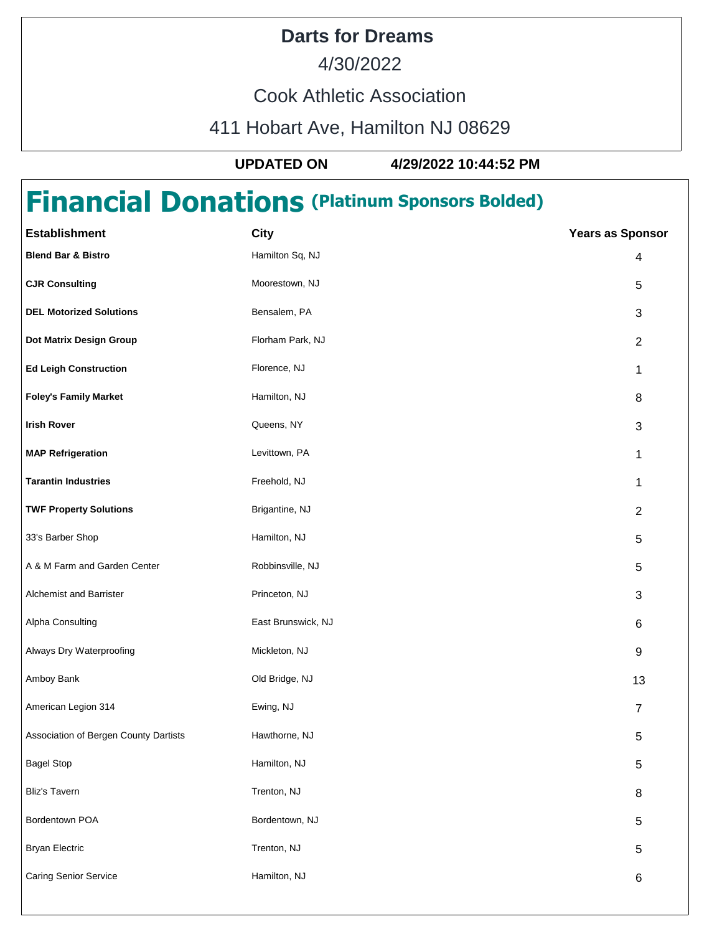## **Darts for Dreams**

4/30/2022

Cook Athletic Association

411 Hobart Ave, Hamilton NJ 08629

**UPDATED ON 4/29/2022 10:44:52 PM**

## **Financial Donations (Platinum Sponsors Bolded)**

| <b>Establishment</b>                  | <b>City</b>        | <b>Years as Sponsor</b> |
|---------------------------------------|--------------------|-------------------------|
| <b>Blend Bar &amp; Bistro</b>         | Hamilton Sq, NJ    | 4                       |
| <b>CJR Consulting</b>                 | Moorestown, NJ     | 5                       |
| <b>DEL Motorized Solutions</b>        | Bensalem, PA       | 3                       |
| Dot Matrix Design Group               | Florham Park, NJ   | $\overline{2}$          |
| <b>Ed Leigh Construction</b>          | Florence, NJ       | 1                       |
| <b>Foley's Family Market</b>          | Hamilton, NJ       | 8                       |
| <b>Irish Rover</b>                    | Queens, NY         | 3                       |
| <b>MAP Refrigeration</b>              | Levittown, PA      | 1                       |
| <b>Tarantin Industries</b>            | Freehold, NJ       | 1                       |
| <b>TWF Property Solutions</b>         | Brigantine, NJ     | $\overline{2}$          |
| 33's Barber Shop                      | Hamilton, NJ       | $\mathbf 5$             |
| A & M Farm and Garden Center          | Robbinsville, NJ   | $\mathbf 5$             |
| Alchemist and Barrister               | Princeton, NJ      | 3                       |
| Alpha Consulting                      | East Brunswick, NJ | 6                       |
| Always Dry Waterproofing              | Mickleton, NJ      | 9                       |
| Amboy Bank                            | Old Bridge, NJ     | 13                      |
| American Legion 314                   | Ewing, NJ          | $\overline{7}$          |
| Association of Bergen County Dartists | Hawthorne, NJ      | 5                       |
| <b>Bagel Stop</b>                     | Hamilton, NJ       | $\mathbf 5$             |
| <b>Bliz's Tavern</b>                  | Trenton, NJ        | 8                       |
| Bordentown POA                        | Bordentown, NJ     | $\mathbf 5$             |
| <b>Bryan Electric</b>                 | Trenton, NJ        | $\mathbf 5$             |
| Caring Senior Service                 | Hamilton, NJ       | 6                       |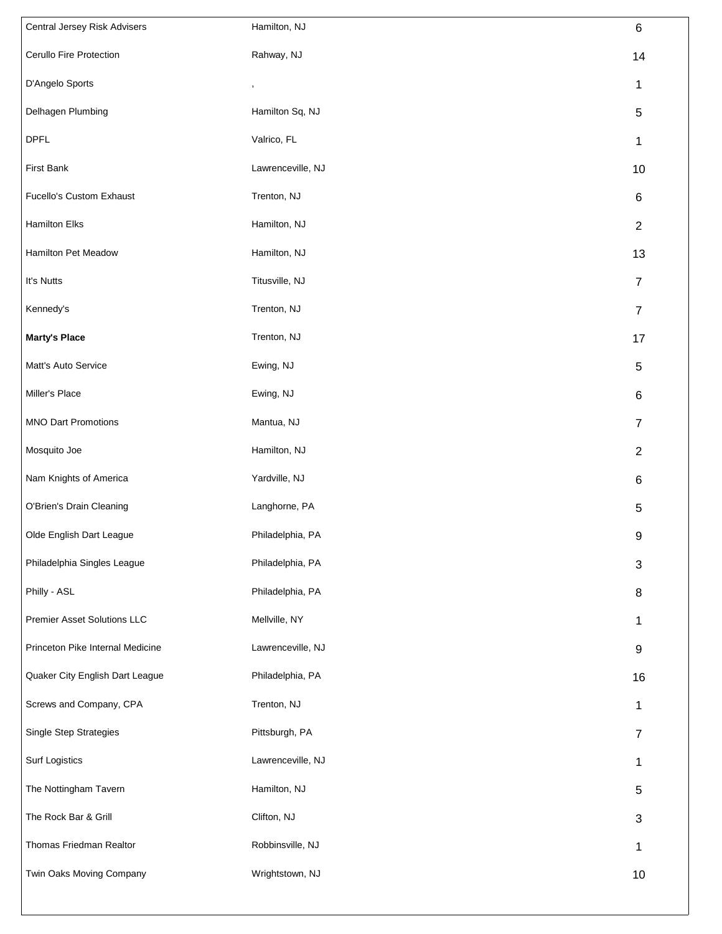| Central Jersey Risk Advisers     | Hamilton, NJ      | $\,6$          |
|----------------------------------|-------------------|----------------|
| Cerullo Fire Protection          | Rahway, NJ        | 14             |
| D'Angelo Sports                  | ,                 | 1              |
| Delhagen Plumbing                | Hamilton Sq, NJ   | $\sqrt{5}$     |
| <b>DPFL</b>                      | Valrico, FL       | 1              |
| <b>First Bank</b>                | Lawrenceville, NJ | 10             |
| Fucello's Custom Exhaust         | Trenton, NJ       | 6              |
| Hamilton Elks                    | Hamilton, NJ      | $\overline{2}$ |
| Hamilton Pet Meadow              | Hamilton, NJ      | 13             |
| It's Nutts                       | Titusville, NJ    | $\overline{7}$ |
| Kennedy's                        | Trenton, NJ       | $\overline{7}$ |
| <b>Marty's Place</b>             | Trenton, NJ       | 17             |
| Matt's Auto Service              | Ewing, NJ         | 5              |
| Miller's Place                   | Ewing, NJ         | 6              |
| <b>MNO Dart Promotions</b>       | Mantua, NJ        | $\overline{7}$ |
| Mosquito Joe                     | Hamilton, NJ      | $\overline{2}$ |
| Nam Knights of America           | Yardville, NJ     | 6              |
| O'Brien's Drain Cleaning         | Langhorne, PA     | 5              |
| Olde English Dart League         | Philadelphia, PA  | 9              |
| Philadelphia Singles League      | Philadelphia, PA  | 3              |
| Philly - ASL                     | Philadelphia, PA  | 8              |
| Premier Asset Solutions LLC      | Mellville, NY     | 1              |
| Princeton Pike Internal Medicine | Lawrenceville, NJ | 9              |
| Quaker City English Dart League  | Philadelphia, PA  | 16             |
| Screws and Company, CPA          | Trenton, NJ       | 1              |
| <b>Single Step Strategies</b>    | Pittsburgh, PA    | $\overline{7}$ |
| <b>Surf Logistics</b>            | Lawrenceville, NJ | 1              |
| The Nottingham Tavern            | Hamilton, NJ      | 5              |
| The Rock Bar & Grill             | Clifton, NJ       | 3              |
| Thomas Friedman Realtor          | Robbinsville, NJ  | 1              |
| Twin Oaks Moving Company         | Wrightstown, NJ   | 10             |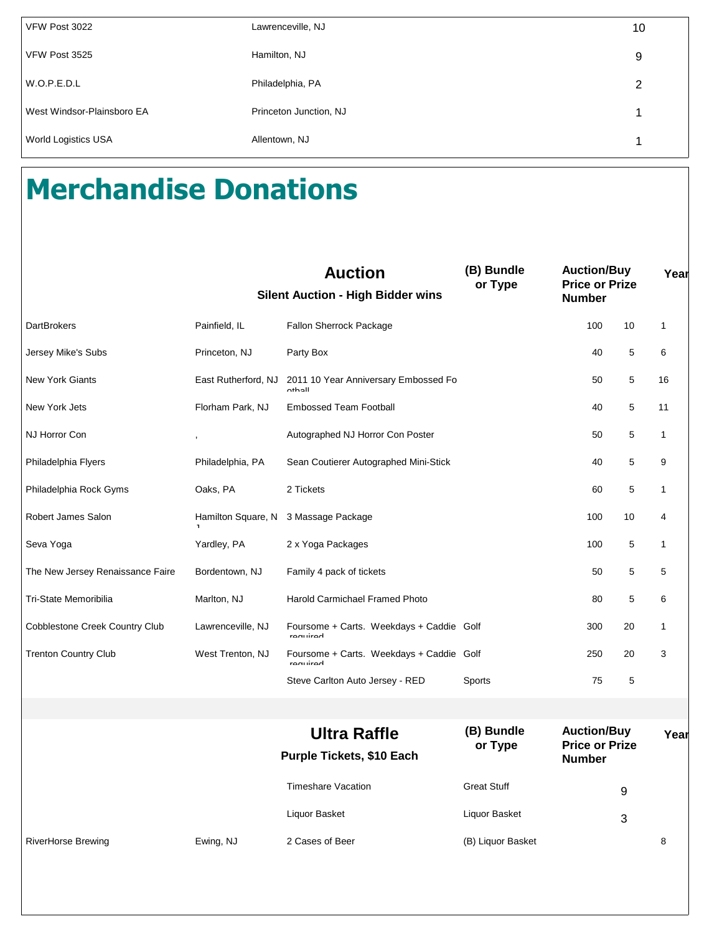| VFW Post 3022              | Lawrenceville, NJ      | 10 |
|----------------------------|------------------------|----|
| VFW Post 3525              | Hamilton, NJ           | 9  |
| W.O.P.E.D.L                | Philadelphia, PA       | 2  |
| West Windsor-Plainsboro EA | Princeton Junction, NJ |    |
| <b>World Logistics USA</b> | Allentown, NJ          |    |

## **Merchandise Donations**

|                                  |                     | <b>Auction</b><br><b>Silent Auction - High Bidder wins</b> | (B) Bundle<br>or Type | <b>Auction/Buy</b><br><b>Price or Prize</b><br><b>Number</b> |    | Year         |
|----------------------------------|---------------------|------------------------------------------------------------|-----------------------|--------------------------------------------------------------|----|--------------|
| <b>DartBrokers</b>               | Painfield, IL       | Fallon Sherrock Package                                    |                       | 100                                                          | 10 | 1            |
| Jersey Mike's Subs               | Princeton, NJ       | Party Box                                                  |                       | 40                                                           | 5  | 6            |
| <b>New York Giants</b>           | East Rutherford, NJ | 2011 10 Year Anniversary Embossed Fo<br>athall             |                       | 50                                                           | 5  | 16           |
| New York Jets                    | Florham Park, NJ    | <b>Embossed Team Football</b>                              |                       | 40                                                           | 5  | 11           |
| NJ Horror Con                    |                     | Autographed NJ Horror Con Poster                           |                       | 50                                                           | 5  | $\mathbf{1}$ |
| Philadelphia Flyers              | Philadelphia, PA    | Sean Coutierer Autographed Mini-Stick                      |                       | 40                                                           | 5  | 9            |
| Philadelphia Rock Gyms           | Oaks, PA            | 2 Tickets                                                  |                       | 60                                                           | 5  | $\mathbf{1}$ |
| Robert James Salon               | Hamilton Square, N  | 3 Massage Package                                          |                       | 100                                                          | 10 | 4            |
| Seva Yoga                        | Yardley, PA         | 2 x Yoga Packages                                          |                       | 100                                                          | 5  | 1            |
| The New Jersey Renaissance Faire | Bordentown, NJ      | Family 4 pack of tickets                                   |                       | 50                                                           | 5  | 5            |
| Tri-State Memoribilia            | Marlton, NJ         | Harold Carmichael Framed Photo                             |                       | 80                                                           | 5  | 6            |
| Cobblestone Creek Country Club   | Lawrenceville, NJ   | Foursome + Carts. Weekdays + Caddie Golf<br>roquirod       |                       | 300                                                          | 20 | 1            |
| <b>Trenton Country Club</b>      | West Trenton, NJ    | Foursome + Carts. Weekdays + Caddie Golf<br>roquirod       |                       | 250                                                          | 20 | 3            |
|                                  |                     | Steve Carlton Auto Jersey - RED                            | Sports                | 75                                                           | 5  |              |
|                                  |                     |                                                            |                       |                                                              |    |              |
|                                  |                     | <b>Ultra Raffle</b><br>Purple Tickets, \$10 Each           | (B) Bundle<br>or Type | <b>Auction/Buy</b><br><b>Price or Prize</b><br><b>Number</b> |    | Year         |
|                                  |                     | <b>Timeshare Vacation</b>                                  | <b>Great Stuff</b>    |                                                              | 9  |              |
|                                  |                     | Liquor Basket                                              | Liquor Basket         |                                                              | 3  |              |
| <b>RiverHorse Brewing</b>        | Ewing, NJ           | 2 Cases of Beer                                            | (B) Liquor Basket     |                                                              |    | 8            |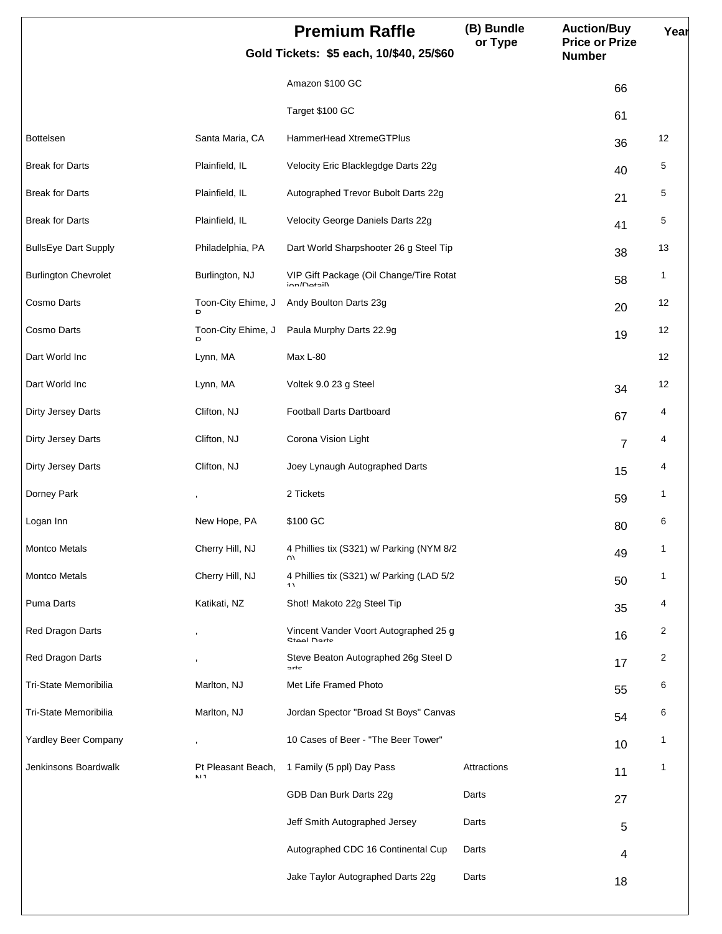|                             |                          | <b>Premium Raffle</b><br>Gold Tickets: \$5 each, 10/\$40, 25/\$60 | (B) Bundle<br>or Type | <b>Auction/Buy</b><br><b>Price or Prize</b><br><b>Number</b> | Year |
|-----------------------------|--------------------------|-------------------------------------------------------------------|-----------------------|--------------------------------------------------------------|------|
|                             |                          | Amazon \$100 GC                                                   |                       | 66                                                           |      |
|                             |                          | Target \$100 GC                                                   |                       | 61                                                           |      |
| <b>Bottelsen</b>            | Santa Maria, CA          | HammerHead XtremeGTPlus                                           |                       | 36                                                           | 12   |
| <b>Break for Darts</b>      | Plainfield, IL           | Velocity Eric Blacklegdge Darts 22g                               |                       | 40                                                           | 5    |
| <b>Break for Darts</b>      | Plainfield, IL           | Autographed Trevor Bubolt Darts 22g                               |                       | 21                                                           | 5    |
| <b>Break for Darts</b>      | Plainfield, IL           | Velocity George Daniels Darts 22g                                 |                       | 41                                                           | 5    |
| <b>BullsEye Dart Supply</b> | Philadelphia, PA         | Dart World Sharpshooter 26 g Steel Tip                            |                       | 38                                                           | 13   |
| <b>Burlington Chevrolet</b> | Burlington, NJ           | VIP Gift Package (Oil Change/Tire Rotat<br>in n/D                 |                       | 58                                                           | 1    |
| Cosmo Darts                 | Toon-City Ehime, J<br>D  | Andy Boulton Darts 23g                                            |                       | 20                                                           | 12   |
| Cosmo Darts                 | Toon-City Ehime, J       | Paula Murphy Darts 22.9g                                          |                       | 19                                                           | 12   |
| Dart World Inc              | Lynn, MA                 | Max L-80                                                          |                       |                                                              | 12   |
| Dart World Inc              | Lynn, MA                 | Voltek 9.0 23 g Steel                                             |                       | 34                                                           | 12   |
| Dirty Jersey Darts          | Clifton, NJ              | Football Darts Dartboard                                          |                       | 67                                                           | 4    |
| Dirty Jersey Darts          | Clifton, NJ              | Corona Vision Light                                               |                       | $\overline{7}$                                               | 4    |
| Dirty Jersey Darts          | Clifton, NJ              | Joey Lynaugh Autographed Darts                                    |                       | 15                                                           | 4    |
| Dorney Park                 |                          | 2 Tickets                                                         |                       | 59                                                           | 1    |
| Logan Inn                   | New Hope, PA             | \$100 GC                                                          |                       | 80                                                           | 6    |
| Montco Metals               | Cherry Hill, NJ          | 4 Phillies tix (S321) w/ Parking (NYM 8/2<br>UV.                  |                       | 49                                                           | 1    |
| Montco Metals               | Cherry Hill, NJ          | 4 Phillies tix (S321) w/ Parking (LAD 5/2<br>4 <sub>1</sub>       |                       | 50                                                           | 1    |
| Puma Darts                  | Katikati, NZ             | Shot! Makoto 22g Steel Tip                                        |                       | 35                                                           | 4    |
| Red Dragon Darts            |                          | Vincent Vander Voort Autographed 25 g<br>Ctool Dorto              |                       | 16                                                           | 2    |
| Red Dragon Darts            |                          | Steve Beaton Autographed 26g Steel D<br>n <sub>th</sub>           |                       | 17                                                           | 2    |
| Tri-State Memoribilia       | Marlton, NJ              | Met Life Framed Photo                                             |                       | 55                                                           | 6    |
| Tri-State Memoribilia       | Marlton, NJ              | Jordan Spector "Broad St Boys" Canvas                             |                       | 54                                                           | 6    |
| Yardley Beer Company        |                          | 10 Cases of Beer - "The Beer Tower"                               |                       | 10                                                           | 1    |
| Jenkinsons Boardwalk        | Pt Pleasant Beach,<br>NH | 1 Family (5 ppl) Day Pass                                         | Attractions           | 11                                                           | 1    |
|                             |                          | GDB Dan Burk Darts 22g                                            | Darts                 | 27                                                           |      |
|                             |                          | Jeff Smith Autographed Jersey                                     | Darts                 | 5                                                            |      |
|                             |                          | Autographed CDC 16 Continental Cup                                | Darts                 | 4                                                            |      |
|                             |                          | Jake Taylor Autographed Darts 22g                                 | Darts                 | 18                                                           |      |
|                             |                          |                                                                   |                       |                                                              |      |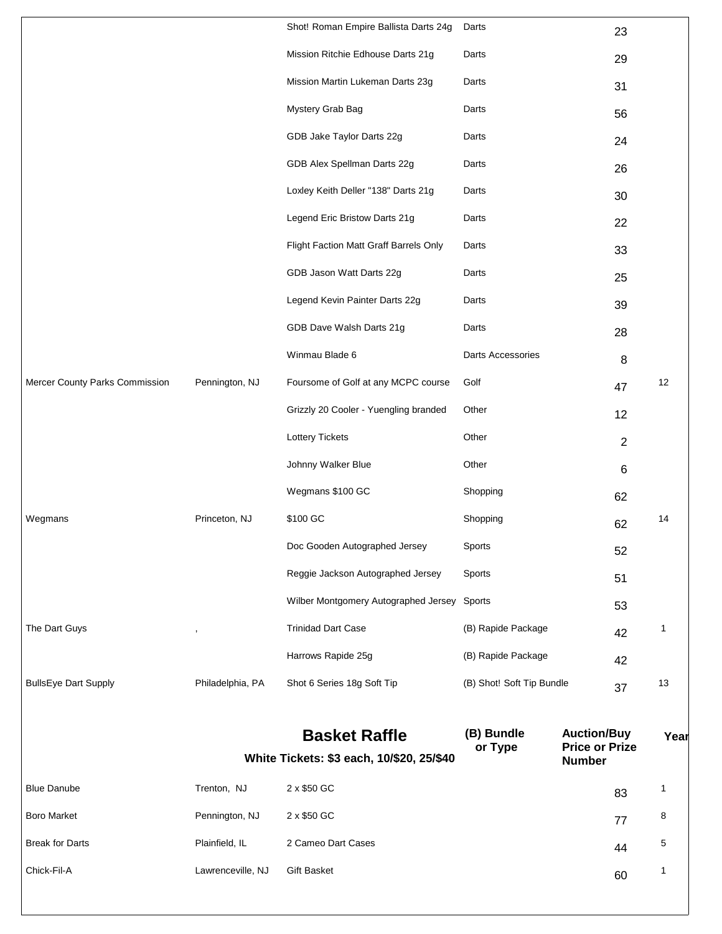| Chick-Fil-A                    | Lawrenceville, NJ | Gift Basket                                                       |                           |                                                              | 60             | 1    |
|--------------------------------|-------------------|-------------------------------------------------------------------|---------------------------|--------------------------------------------------------------|----------------|------|
| <b>Break for Darts</b>         | Plainfield, IL    | 2 Cameo Dart Cases                                                |                           |                                                              | 44             | 5    |
| <b>Boro Market</b>             | Pennington, NJ    | 2 x \$50 GC                                                       |                           |                                                              | 77             | 8    |
| <b>Blue Danube</b>             | Trenton, NJ       | 2 x \$50 GC                                                       |                           |                                                              | 83             | 1    |
|                                |                   | <b>Basket Raffle</b><br>White Tickets: \$3 each, 10/\$20, 25/\$40 | (B) Bundle<br>or Type     | <b>Auction/Buy</b><br><b>Price or Prize</b><br><b>Number</b> |                | Year |
| <b>BullsEye Dart Supply</b>    | Philadelphia, PA  | Shot 6 Series 18g Soft Tip                                        | (B) Shot! Soft Tip Bundle |                                                              | 37             | 13   |
|                                |                   | Harrows Rapide 25g                                                | (B) Rapide Package        |                                                              | 42             |      |
| The Dart Guys                  |                   | <b>Trinidad Dart Case</b>                                         | (B) Rapide Package        |                                                              | 42             | 1    |
|                                |                   | Wilber Montgomery Autographed Jersey Sports                       |                           |                                                              | 53             |      |
|                                |                   | Reggie Jackson Autographed Jersey                                 | Sports                    |                                                              | 51             |      |
|                                |                   | Doc Gooden Autographed Jersey                                     | Sports                    |                                                              | 52             |      |
| Wegmans                        | Princeton, NJ     | \$100 GC                                                          | Shopping                  |                                                              | 62             | 14   |
|                                |                   | Wegmans \$100 GC                                                  | Shopping                  |                                                              | 62             |      |
|                                |                   | Johnny Walker Blue                                                | Other                     |                                                              | 6              |      |
|                                |                   | <b>Lottery Tickets</b>                                            | Other                     |                                                              | $\overline{2}$ |      |
|                                |                   | Grizzly 20 Cooler - Yuengling branded                             | Other                     |                                                              | 12             |      |
| Mercer County Parks Commission | Pennington, NJ    | Foursome of Golf at any MCPC course                               | Golf                      |                                                              | 47             | 12   |
|                                |                   | Winmau Blade 6                                                    | Darts Accessories         |                                                              | 8              |      |
|                                |                   | GDB Dave Walsh Darts 21g                                          | Darts                     |                                                              | 28             |      |
|                                |                   | Legend Kevin Painter Darts 22g                                    | Darts                     |                                                              | 39             |      |
|                                |                   | GDB Jason Watt Darts 22g                                          | Darts                     |                                                              | 25             |      |
|                                |                   | Flight Faction Matt Graff Barrels Only                            | Darts                     |                                                              | 33             |      |
|                                |                   | Legend Eric Bristow Darts 21g                                     | Darts                     |                                                              | 22             |      |
|                                |                   | Loxley Keith Deller "138" Darts 21g                               | Darts                     |                                                              | 30             |      |
|                                |                   | GDB Alex Spellman Darts 22g                                       | Darts                     |                                                              | 26             |      |
|                                |                   | GDB Jake Taylor Darts 22g                                         | Darts                     |                                                              | 24             |      |
|                                |                   | Mystery Grab Bag                                                  | Darts                     |                                                              | 56             |      |
|                                |                   | Mission Martin Lukeman Darts 23g                                  | Darts                     |                                                              | 31             |      |
|                                |                   | Mission Ritchie Edhouse Darts 21g                                 | Darts                     |                                                              | 29             |      |
|                                |                   | Shot! Roman Empire Ballista Darts 24g                             | Darts                     |                                                              | 23             |      |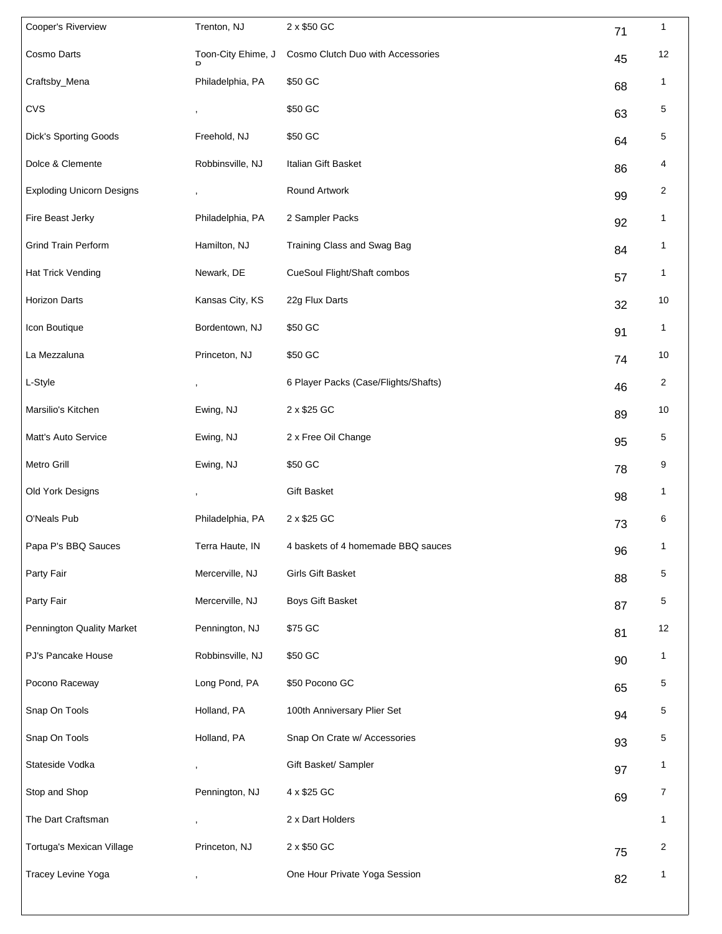| Cooper's Riverview               | Trenton, NJ        | 2 x \$50 GC                          | 71 | 1              |
|----------------------------------|--------------------|--------------------------------------|----|----------------|
| Cosmo Darts                      | Toon-City Ehime, J | Cosmo Clutch Duo with Accessories    | 45 | 12             |
| Craftsby_Mena                    | Philadelphia, PA   | \$50 GC                              | 68 | 1              |
| <b>CVS</b>                       |                    | \$50 GC                              | 63 | 5              |
| <b>Dick's Sporting Goods</b>     | Freehold, NJ       | \$50 GC                              | 64 | 5              |
| Dolce & Clemente                 | Robbinsville, NJ   | Italian Gift Basket                  | 86 | 4              |
| <b>Exploding Unicorn Designs</b> |                    | Round Artwork                        | 99 | $\overline{c}$ |
| Fire Beast Jerky                 | Philadelphia, PA   | 2 Sampler Packs                      | 92 | 1              |
| <b>Grind Train Perform</b>       | Hamilton, NJ       | Training Class and Swag Bag          | 84 | 1              |
| Hat Trick Vending                | Newark, DE         | CueSoul Flight/Shaft combos          | 57 | 1              |
| Horizon Darts                    | Kansas City, KS    | 22g Flux Darts                       | 32 | 10             |
| Icon Boutique                    | Bordentown, NJ     | \$50 GC                              | 91 | 1              |
| La Mezzaluna                     | Princeton, NJ      | \$50 GC                              | 74 | 10             |
| L-Style                          | ,                  | 6 Player Packs (Case/Flights/Shafts) | 46 | 2              |
| Marsilio's Kitchen               | Ewing, NJ          | 2 x \$25 GC                          | 89 | 10             |
| Matt's Auto Service              | Ewing, NJ          | 2 x Free Oil Change                  | 95 | 5              |
| Metro Grill                      | Ewing, NJ          | \$50 GC                              | 78 | 9              |
| Old York Designs                 |                    | Gift Basket                          | 98 | 1              |
| O'Neals Pub                      | Philadelphia, PA   | 2 x \$25 GC                          | 73 | 6              |
| Papa P's BBQ Sauces              | Terra Haute, IN    | 4 baskets of 4 homemade BBQ sauces   | 96 | 1              |
| Party Fair                       | Mercerville, NJ    | Girls Gift Basket                    | 88 | 5              |
| Party Fair                       | Mercerville, NJ    | Boys Gift Basket                     | 87 | 5              |
| Pennington Quality Market        | Pennington, NJ     | \$75 GC                              | 81 | 12             |
| PJ's Pancake House               | Robbinsville, NJ   | \$50 GC                              | 90 | 1              |
| Pocono Raceway                   | Long Pond, PA      | \$50 Pocono GC                       | 65 | 5              |
| Snap On Tools                    | Holland, PA        | 100th Anniversary Plier Set          | 94 | 5              |
| Snap On Tools                    | Holland, PA        | Snap On Crate w/ Accessories         | 93 | 5              |
| Stateside Vodka                  | ,                  | Gift Basket/ Sampler                 | 97 | 1              |
| Stop and Shop                    | Pennington, NJ     | 4 x \$25 GC                          | 69 | 7              |
| The Dart Craftsman               |                    | 2 x Dart Holders                     |    | 1              |
| Tortuga's Mexican Village        | Princeton, NJ      | 2 x \$50 GC                          | 75 | 2              |
| Tracey Levine Yoga               | ,                  | One Hour Private Yoga Session        | 82 | $\mathbf{1}$   |
|                                  |                    |                                      |    |                |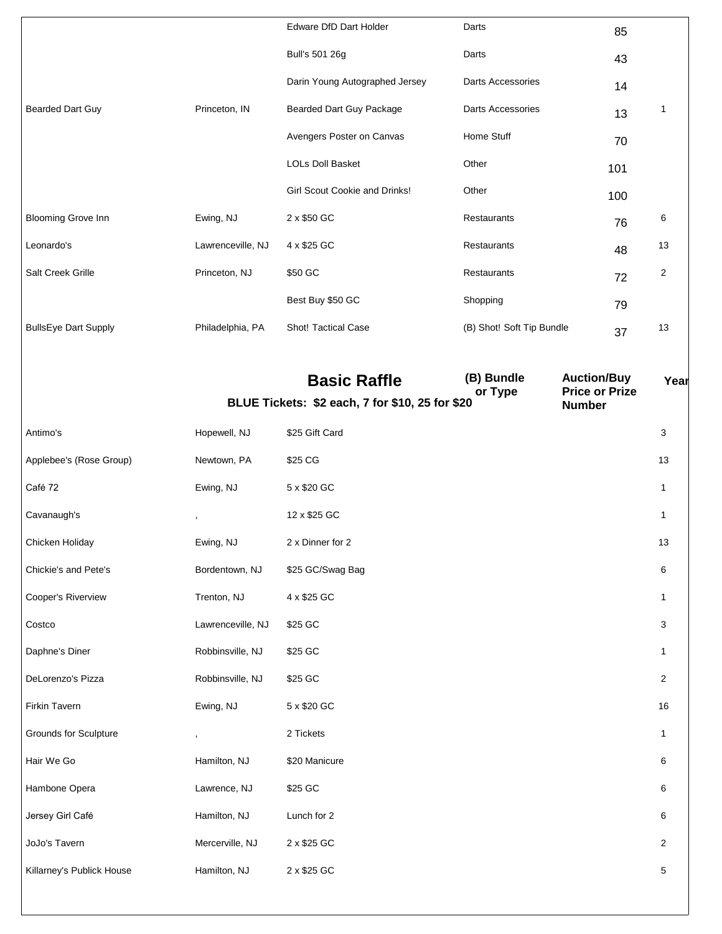|                              |                   | Edware DfD Dart Holder                          | Darts                     | 85                                          |                |
|------------------------------|-------------------|-------------------------------------------------|---------------------------|---------------------------------------------|----------------|
|                              |                   | Bull's 501 26g                                  | Darts                     | 43                                          |                |
|                              |                   | Darin Young Autographed Jersey                  | Darts Accessories         | 14                                          |                |
| <b>Bearded Dart Guy</b>      | Princeton, IN     | <b>Bearded Dart Guy Package</b>                 | Darts Accessories         | 13                                          | 1              |
|                              |                   | Avengers Poster on Canvas                       | Home Stuff                | 70                                          |                |
|                              |                   | <b>LOLs Doll Basket</b>                         | Other                     | 101                                         |                |
|                              |                   | Girl Scout Cookie and Drinks!                   | Other                     | 100                                         |                |
| <b>Blooming Grove Inn</b>    | Ewing, NJ         | 2 x \$50 GC                                     | Restaurants               | 76                                          | 6              |
| Leonardo's                   | Lawrenceville, NJ | 4 x \$25 GC                                     | Restaurants               | 48                                          | 13             |
| Salt Creek Grille            | Princeton, NJ     | \$50 GC                                         | Restaurants               | 72                                          | $\overline{2}$ |
|                              |                   | Best Buy \$50 GC                                | Shopping                  | 79                                          |                |
| <b>BullsEye Dart Supply</b>  | Philadelphia, PA  | Shot! Tactical Case                             | (B) Shot! Soft Tip Bundle | 37                                          | 13             |
|                              |                   |                                                 |                           |                                             |                |
|                              |                   | <b>Basic Raffle</b>                             | (B) Bundle<br>or Type     | <b>Auction/Buy</b><br><b>Price or Prize</b> | Year           |
|                              |                   | BLUE Tickets: \$2 each, 7 for \$10, 25 for \$20 |                           | <b>Number</b>                               |                |
| Antimo's                     | Hopewell, NJ      | \$25 Gift Card                                  |                           |                                             | 3              |
| Applebee's (Rose Group)      | Newtown, PA       | \$25 CG                                         |                           |                                             | 13             |
| Café 72                      | Ewing, NJ         | 5 x \$20 GC                                     |                           |                                             | 1              |
| Cavanaugh's                  |                   | 12 x \$25 GC                                    |                           |                                             | 1              |
| Chicken Holiday              | Ewing, NJ         | 2 x Dinner for 2                                |                           |                                             | 13             |
| Chickie's and Pete's         | Bordentown, NJ    | \$25 GC/Swag Bag                                |                           |                                             | 6              |
| Cooper's Riverview           | Trenton, NJ       | 4 x \$25 GC                                     |                           |                                             | 1              |
| Costco                       | Lawrenceville, NJ | \$25 GC                                         |                           |                                             | 3              |
| Daphne's Diner               | Robbinsville, NJ  | \$25 GC                                         |                           |                                             | 1              |
| DeLorenzo's Pizza            | Robbinsville, NJ  | \$25 GC                                         |                           |                                             | $\overline{c}$ |
| Firkin Tavern                | Ewing, NJ         | 5 x \$20 GC                                     |                           |                                             | 16             |
| <b>Grounds for Sculpture</b> |                   | 2 Tickets                                       |                           |                                             | 1              |
| Hair We Go                   | Hamilton, NJ      | \$20 Manicure                                   |                           |                                             | 6              |
| Hambone Opera                | Lawrence, NJ      | \$25 GC                                         |                           |                                             | 6              |
| Jersey Girl Café             | Hamilton, NJ      | Lunch for 2                                     |                           |                                             | 6              |
| JoJo's Tavern                | Mercerville, NJ   | 2 x \$25 GC                                     |                           |                                             | $\overline{a}$ |
| Killarney's Publick House    |                   |                                                 |                           |                                             |                |
|                              | Hamilton, NJ      | 2 x \$25 GC                                     |                           |                                             | 5              |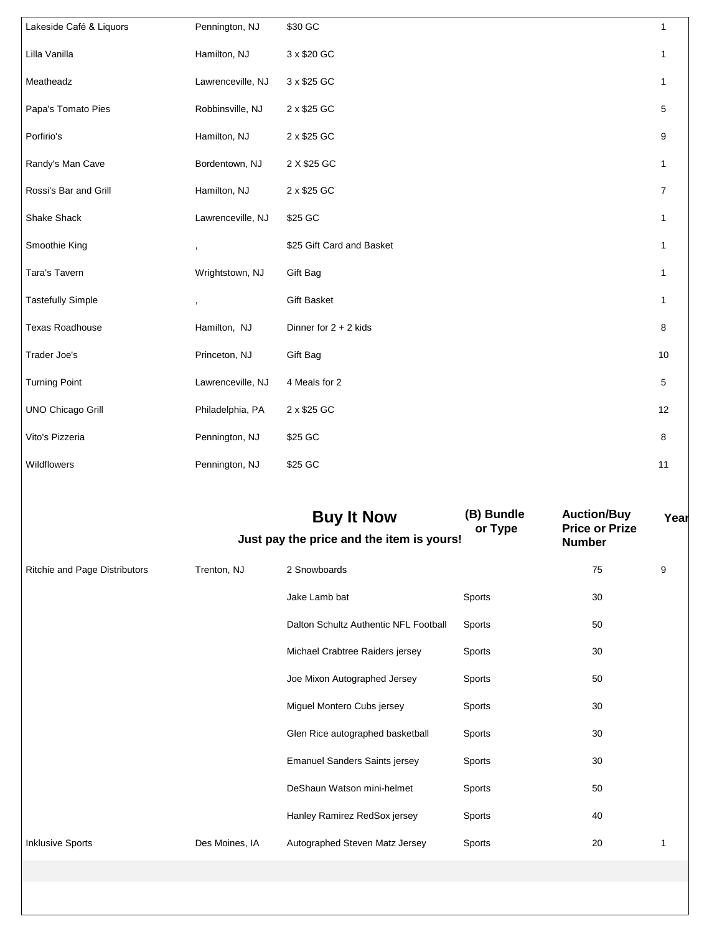| Lakeside Café & Liquors  | Pennington, NJ           | \$30 GC                   | $\mathbf{1}$   |
|--------------------------|--------------------------|---------------------------|----------------|
| Lilla Vanilla            | Hamilton, NJ             | 3 x \$20 GC               | $\mathbf{1}$   |
| Meatheadz                | Lawrenceville, NJ        | 3 x \$25 GC               | $\mathbf{1}$   |
| Papa's Tomato Pies       | Robbinsville, NJ         | 2 x \$25 GC               | 5              |
| Porfirio's               | Hamilton, NJ             | 2 x \$25 GC               | 9              |
| Randy's Man Cave         | Bordentown, NJ           | 2 X \$25 GC               | $\mathbf{1}$   |
| Rossi's Bar and Grill    | Hamilton, NJ             | 2 x \$25 GC               | $\overline{7}$ |
| Shake Shack              | Lawrenceville, NJ        | \$25 GC                   | $\mathbf{1}$   |
| Smoothie King            | $\overline{\phantom{a}}$ | \$25 Gift Card and Basket | $\mathbf{1}$   |
| Tara's Tavern            | Wrightstown, NJ          | Gift Bag                  | $\mathbf{1}$   |
| <b>Tastefully Simple</b> | $\overline{\phantom{a}}$ | <b>Gift Basket</b>        | $\mathbf{1}$   |
| Texas Roadhouse          | Hamilton, NJ             | Dinner for $2 + 2$ kids   | $\bf 8$        |
| Trader Joe's             | Princeton, NJ            | Gift Bag                  | 10             |
| <b>Turning Point</b>     | Lawrenceville, NJ        | 4 Meals for 2             | 5              |
| <b>UNO Chicago Grill</b> | Philadelphia, PA         | 2 x \$25 GC               | 12             |
| Vito's Pizzeria          | Pennington, NJ           | \$25 GC                   | 8              |
| Wildflowers              | Pennington, NJ           | \$25 GC                   | 11             |

|                               |                | <b>Buy It Now</b><br>Just pay the price and the item is yours! | (B) Bundle<br>or Type | <b>Auction/Buy</b><br><b>Price or Prize</b><br><b>Number</b> | Year |
|-------------------------------|----------------|----------------------------------------------------------------|-----------------------|--------------------------------------------------------------|------|
| Ritchie and Page Distributors | Trenton, NJ    | 2 Snowboards                                                   |                       | 75                                                           | 9    |
|                               |                | Jake Lamb bat                                                  | Sports                | 30                                                           |      |
|                               |                | Dalton Schultz Authentic NFL Football                          | Sports                | 50                                                           |      |
|                               |                | Michael Crabtree Raiders jersey                                | Sports                | 30                                                           |      |
|                               |                | Joe Mixon Autographed Jersey                                   | Sports                | 50                                                           |      |
|                               |                | Miguel Montero Cubs jersey                                     | Sports                | 30                                                           |      |
|                               |                | Glen Rice autographed basketball                               | Sports                | 30                                                           |      |
|                               |                | <b>Emanuel Sanders Saints jersey</b>                           | Sports                | 30                                                           |      |
|                               |                | DeShaun Watson mini-helmet                                     | Sports                | 50                                                           |      |
|                               |                | Hanley Ramirez RedSox jersey                                   | Sports                | 40                                                           |      |
| <b>Inklusive Sports</b>       | Des Moines, IA | Autographed Steven Matz Jersey                                 | Sports                | 20                                                           | 1    |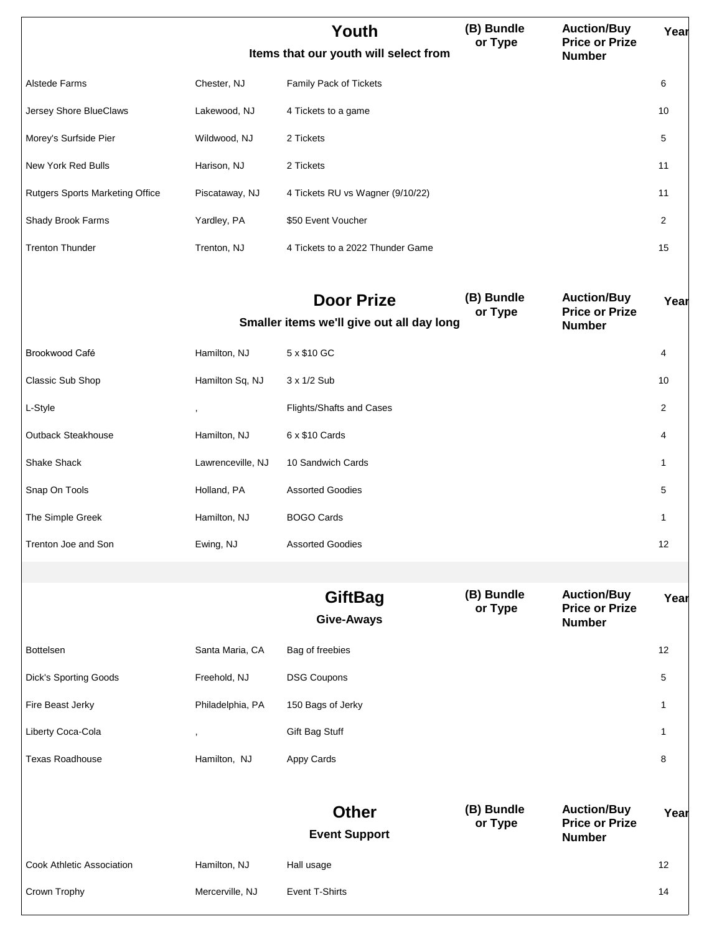|                                        |                   | Youth<br>Items that our youth will select from                 | (B) Bundle<br>or Type | <b>Auction/Buy</b><br><b>Price or Prize</b><br><b>Number</b> | Year           |
|----------------------------------------|-------------------|----------------------------------------------------------------|-----------------------|--------------------------------------------------------------|----------------|
| Alstede Farms                          | Chester, NJ       | Family Pack of Tickets                                         |                       |                                                              | 6              |
| Jersey Shore BlueClaws                 | Lakewood, NJ      | 4 Tickets to a game                                            |                       |                                                              | 10             |
| Morey's Surfside Pier                  | Wildwood, NJ      | 2 Tickets                                                      |                       |                                                              | 5              |
| New York Red Bulls                     | Harison, NJ       | 2 Tickets                                                      |                       |                                                              | 11             |
| <b>Rutgers Sports Marketing Office</b> | Piscataway, NJ    | 4 Tickets RU vs Wagner (9/10/22)                               |                       |                                                              | 11             |
| Shady Brook Farms                      | Yardley, PA       | \$50 Event Voucher                                             |                       |                                                              | $\overline{2}$ |
| <b>Trenton Thunder</b>                 | Trenton, NJ       | 4 Tickets to a 2022 Thunder Game                               |                       |                                                              | 15             |
|                                        |                   | <b>Door Prize</b><br>Smaller items we'll give out all day long | (B) Bundle<br>or Type | <b>Auction/Buy</b><br><b>Price or Prize</b><br><b>Number</b> | Year           |
| Brookwood Café                         | Hamilton, NJ      | 5 x \$10 GC                                                    |                       |                                                              | 4              |
| Classic Sub Shop                       | Hamilton Sq, NJ   | 3 x 1/2 Sub                                                    |                       |                                                              | 10             |
| L-Style                                | $\,$              | Flights/Shafts and Cases                                       |                       |                                                              | $\overline{2}$ |
| Outback Steakhouse                     | Hamilton, NJ      | 6 x \$10 Cards                                                 |                       |                                                              | 4              |
| Shake Shack                            | Lawrenceville, NJ | 10 Sandwich Cards                                              |                       |                                                              | 1              |
| Snap On Tools                          | Holland, PA       | <b>Assorted Goodies</b>                                        |                       |                                                              | 5              |
| The Simple Greek                       | Hamilton, NJ      | <b>BOGO Cards</b>                                              |                       |                                                              | 1              |
| Trenton Joe and Son                    | Ewing, NJ         | <b>Assorted Goodies</b>                                        |                       |                                                              | 12             |
|                                        |                   |                                                                |                       |                                                              |                |
|                                        |                   | <b>GiftBag</b><br><b>Give-Aways</b>                            | (B) Bundle<br>or Type | <b>Auction/Buy</b><br><b>Price or Prize</b><br><b>Number</b> | Year           |
| <b>Bottelsen</b>                       | Santa Maria, CA   | Bag of freebies                                                |                       |                                                              | 12             |
| <b>Dick's Sporting Goods</b>           | Freehold, NJ      | <b>DSG Coupons</b>                                             |                       |                                                              | 5              |
| Fire Beast Jerky                       | Philadelphia, PA  | 150 Bags of Jerky                                              |                       |                                                              | 1              |
| Liberty Coca-Cola                      |                   | Gift Bag Stuff                                                 |                       |                                                              | 1              |
| <b>Texas Roadhouse</b>                 | Hamilton, NJ      | Appy Cards                                                     |                       |                                                              | 8              |
|                                        |                   |                                                                |                       |                                                              |                |
|                                        |                   | <b>Other</b><br><b>Event Support</b>                           | (B) Bundle<br>or Type | <b>Auction/Buy</b><br><b>Price or Prize</b><br><b>Number</b> | Year           |
| Cook Athletic Association              | Hamilton, NJ      | Hall usage                                                     |                       |                                                              | 12             |
| Crown Trophy                           | Mercerville, NJ   | Event T-Shirts                                                 |                       |                                                              | 14             |